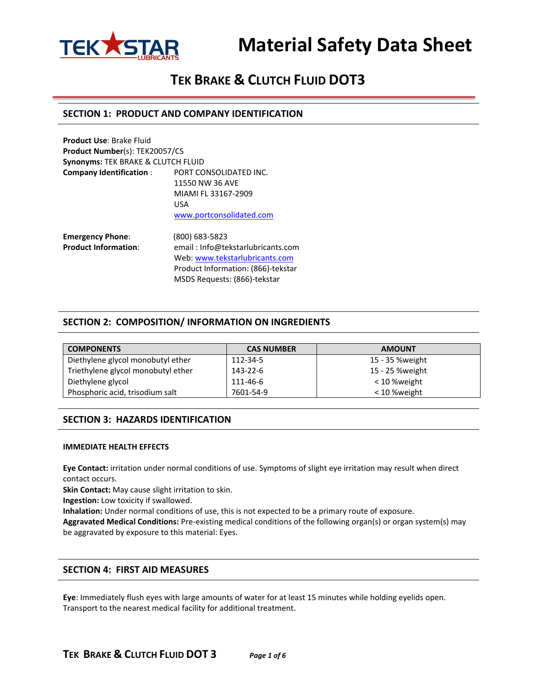

# **TEK BRAKE & CLUTCH FLUID DOT3**

#### **SECTION 1: PRODUCT AND COMPANY IDENTIFICATION**

| <b>Product Use: Brake Fluid</b>       |                                   |
|---------------------------------------|-----------------------------------|
| <b>Product Number(s): TEK20057/CS</b> |                                   |
| Synonyms: TEK BRAKE & CLUTCH FLUID    |                                   |
| <b>Company Identification:</b>        | PORT CONSOLIDATED INC.            |
|                                       | 11550 NW 36 AVE                   |
|                                       | MIAMI FL 33167-2909               |
|                                       | <b>USA</b>                        |
|                                       | www.portconsolidated.com          |
| <b>Emergency Phone:</b>               | (800) 683-5823                    |
| <b>Product Information:</b>           | email: Info@tekstarlubricants.com |

Web: [www.tekstarlubricants.com](http://www.tekstarlubricants.com/) Product Information: (866)-tekstar MSDS Requests: (866)-tekstar

#### **SECTION 2: COMPOSITION/ INFORMATION ON INGREDIENTS**

| <b>COMPONENTS</b>                  | <b>CAS NUMBER</b> | <b>AMOUNT</b>   |
|------------------------------------|-------------------|-----------------|
| Diethylene glycol monobutyl ether  | 112-34-5          | 15 - 35 %weight |
| Triethylene glycol monobutyl ether | 143-22-6          | 15 - 25 %weight |
| Diethylene glycol                  | 111-46-6          | < 10 %weight    |
| Phosphoric acid, trisodium salt    | 7601-54-9         | < 10 %weight    |

## **SECTION 3: HAZARDS IDENTIFICATION**

#### **IMMEDIATE HEALTH EFFECTS**

**Eye Contact:** irritation under normal conditions of use. Symptoms of slight eye irritation may result when direct contact occurs.

**Skin Contact:** May cause slight irritation to skin.

**Ingestion:** Low toxicity if swallowed.

**Inhalation:** Under normal conditions of use, this is not expected to be a primary route of exposure.

**Aggravated Medical Conditions:** Pre-existing medical conditions of the following organ(s) or organ system(s) may be aggravated by exposure to this material: Eyes.

#### **SECTION 4: FIRST AID MEASURES**

**Eye**: Immediately flush eyes with large amounts of water for at least 15 minutes while holding eyelids open. Transport to the nearest medical facility for additional treatment.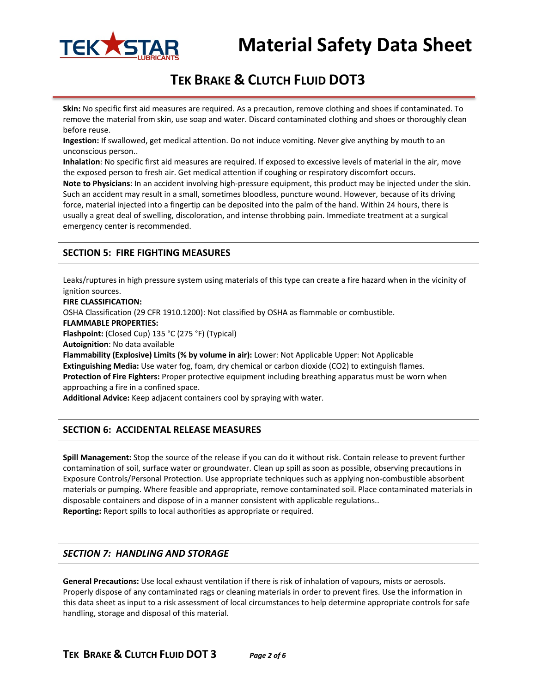

# **TEK BRAKE & CLUTCH FLUID DOT3**

**Skin:** No specific first aid measures are required. As a precaution, remove clothing and shoes if contaminated. To remove the material from skin, use soap and water. Discard contaminated clothing and shoes or thoroughly clean before reuse.

**Ingestion:** If swallowed, get medical attention. Do not induce vomiting. Never give anything by mouth to an unconscious person..

**Inhalation**: No specific first aid measures are required. If exposed to excessive levels of material in the air, move the exposed person to fresh air. Get medical attention if coughing or respiratory discomfort occurs.

**Note to Physicians**: In an accident involving high-pressure equipment, this product may be injected under the skin. Such an accident may result in a small, sometimes bloodless, puncture wound. However, because of its driving force, material injected into a fingertip can be deposited into the palm of the hand. Within 24 hours, there is usually a great deal of swelling, discoloration, and intense throbbing pain. Immediate treatment at a surgical emergency center is recommended.

## **SECTION 5: FIRE FIGHTING MEASURES**

Leaks/ruptures in high pressure system using materials of this type can create a fire hazard when in the vicinity of ignition sources.

**FIRE CLASSIFICATION:**

OSHA Classification (29 CFR 1910.1200): Not classified by OSHA as flammable or combustible.

**FLAMMABLE PROPERTIES:**

**Flashpoint:** (Closed Cup) 135 °C (275 °F) (Typical)

**Autoignition**: No data available

**Flammability (Explosive) Limits (% by volume in air):** Lower: Not Applicable Upper: Not Applicable **Extinguishing Media:** Use water fog, foam, dry chemical or carbon dioxide (CO2) to extinguish flames. **Protection of Fire Fighters:** Proper protective equipment including breathing apparatus must be worn when approaching a fire in a confined space.

**Additional Advice:** Keep adjacent containers cool by spraying with water.

## **SECTION 6: ACCIDENTAL RELEASE MEASURES**

**Spill Management:** Stop the source of the release if you can do it without risk. Contain release to prevent further contamination of soil, surface water or groundwater. Clean up spill as soon as possible, observing precautions in Exposure Controls/Personal Protection. Use appropriate techniques such as applying non-combustible absorbent materials or pumping. Where feasible and appropriate, remove contaminated soil. Place contaminated materials in disposable containers and dispose of in a manner consistent with applicable regulations.. **Reporting:** Report spills to local authorities as appropriate or required.

## *SECTION 7: HANDLING AND STORAGE*

**General Precautions:** Use local exhaust ventilation if there is risk of inhalation of vapours, mists or aerosols. Properly dispose of any contaminated rags or cleaning materials in order to prevent fires. Use the information in this data sheet as input to a risk assessment of local circumstances to help determine appropriate controls for safe handling, storage and disposal of this material.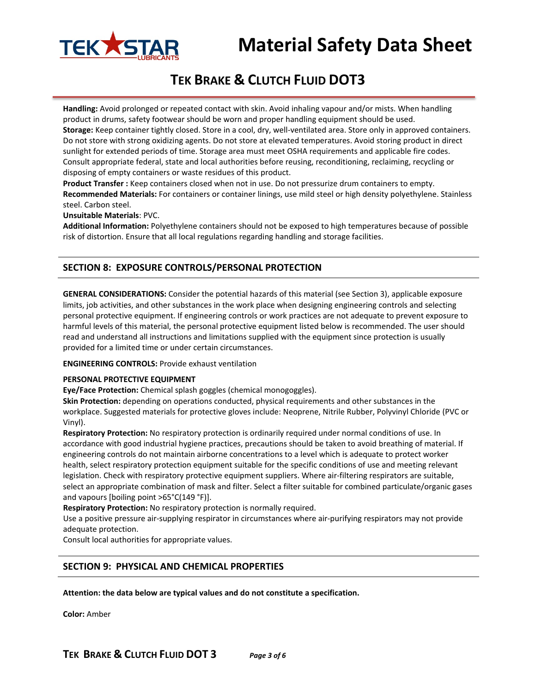

# **TEK BRAKE & CLUTCH FLUID DOT3**

**Handling:** Avoid prolonged or repeated contact with skin. Avoid inhaling vapour and/or mists. When handling product in drums, safety footwear should be worn and proper handling equipment should be used. **Storage:** Keep container tightly closed. Store in a cool, dry, well-ventilated area. Store only in approved containers. Do not store with strong oxidizing agents. Do not store at elevated temperatures. Avoid storing product in direct sunlight for extended periods of time. Storage area must meet OSHA requirements and applicable fire codes. Consult appropriate federal, state and local authorities before reusing, reconditioning, reclaiming, recycling or disposing of empty containers or waste residues of this product.

**Product Transfer :** Keep containers closed when not in use. Do not pressurize drum containers to empty. **Recommended Materials:** For containers or container linings, use mild steel or high density polyethylene. Stainless steel. Carbon steel.

**Unsuitable Materials**: PVC.

**Additional Information:** Polyethylene containers should not be exposed to high temperatures because of possible risk of distortion. Ensure that all local regulations regarding handling and storage facilities.

## **SECTION 8: EXPOSURE CONTROLS/PERSONAL PROTECTION**

**GENERAL CONSIDERATIONS:** Consider the potential hazards of this material (see Section 3), applicable exposure limits, job activities, and other substances in the work place when designing engineering controls and selecting personal protective equipment. If engineering controls or work practices are not adequate to prevent exposure to harmful levels of this material, the personal protective equipment listed below is recommended. The user should read and understand all instructions and limitations supplied with the equipment since protection is usually provided for a limited time or under certain circumstances.

**ENGINEERING CONTROLS:** Provide exhaust ventilation

#### **PERSONAL PROTECTIVE EQUIPMENT**

**Eye/Face Protection:** Chemical splash goggles (chemical monogoggles).

**Skin Protection:** depending on operations conducted, physical requirements and other substances in the workplace. Suggested materials for protective gloves include: Neoprene, Nitrile Rubber, Polyvinyl Chloride (PVC or Vinyl).

**Respiratory Protection:** No respiratory protection is ordinarily required under normal conditions of use. In accordance with good industrial hygiene practices, precautions should be taken to avoid breathing of material. If engineering controls do not maintain airborne concentrations to a level which is adequate to protect worker health, select respiratory protection equipment suitable for the specific conditions of use and meeting relevant legislation. Check with respiratory protective equipment suppliers. Where air-filtering respirators are suitable, select an appropriate combination of mask and filter. Select a filter suitable for combined particulate/organic gases and vapours [boiling point >65°C(149 °F)].

**Respiratory Protection:** No respiratory protection is normally required.

Use a positive pressure air-supplying respirator in circumstances where air-purifying respirators may not provide adequate protection.

Consult local authorities for appropriate values.

## **SECTION 9: PHYSICAL AND CHEMICAL PROPERTIES**

**Attention: the data below are typical values and do not constitute a specification.**

**Color:** Amber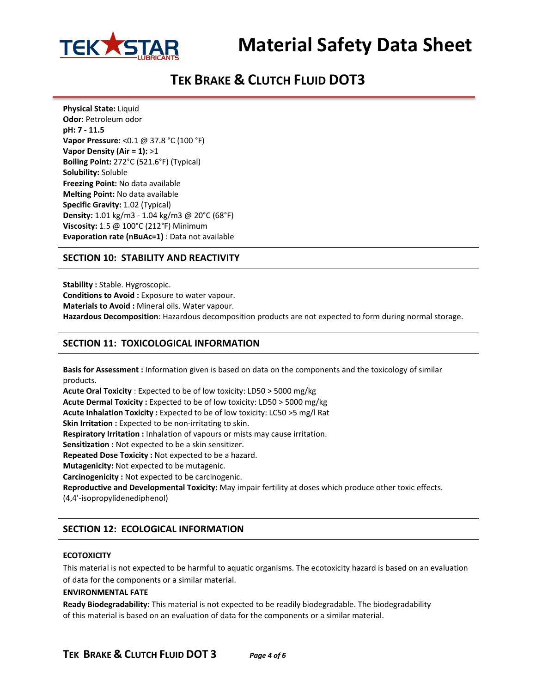



# **TEK BRAKE & CLUTCH FLUID DOT3**

**Physical State:** Liquid **Odor**: Petroleum odor **pH: 7 - 11.5 Vapor Pressure:** <0.1 @ 37.8 °C (100 °F) **Vapor Density (Air = 1):** >1 **Boiling Point:** 272°C (521.6°F) (Typical) **Solubility:** Soluble **Freezing Point:** No data available **Melting Point:** No data available **Specific Gravity:** 1.02 (Typical) **Density:** 1.01 kg/m3 - 1.04 kg/m3 @ 20°C (68°F) **Viscosity:** 1.5 @ 100°C (212°F) Minimum **Evaporation rate (nBuAc=1)** : Data not available

## **SECTION 10: STABILITY AND REACTIVITY**

**Stability :** Stable. Hygroscopic. **Conditions to Avoid :** Exposure to water vapour. **Materials to Avoid :** Mineral oils. Water vapour. **Hazardous Decomposition**: Hazardous decomposition products are not expected to form during normal storage.

## **SECTION 11: TOXICOLOGICAL INFORMATION**

**Basis for Assessment :** Information given is based on data on the components and the toxicology of similar products.

**Acute Oral Toxicity** : Expected to be of low toxicity: LD50 > 5000 mg/kg **Acute Dermal Toxicity :** Expected to be of low toxicity: LD50 > 5000 mg/kg **Acute Inhalation Toxicity :** Expected to be of low toxicity: LC50 >5 mg/l Rat **Skin Irritation :** Expected to be non-irritating to skin. **Respiratory Irritation :** Inhalation of vapours or mists may cause irritation. **Sensitization :** Not expected to be a skin sensitizer. **Repeated Dose Toxicity :** Not expected to be a hazard. **Mutagenicity:** Not expected to be mutagenic. **Carcinogenicity :** Not expected to be carcinogenic.

**Reproductive and Developmental Toxicity:** May impair fertility at doses which produce other toxic effects. (4,4'-isopropylidenediphenol)

## **SECTION 12: ECOLOGICAL INFORMATION**

#### **ECOTOXICITY**

This material is not expected to be harmful to aquatic organisms. The ecotoxicity hazard is based on an evaluation of data for the components or a similar material.

#### **ENVIRONMENTAL FATE**

**Ready Biodegradability:** This material is not expected to be readily biodegradable. The biodegradability of this material is based on an evaluation of data for the components or a similar material.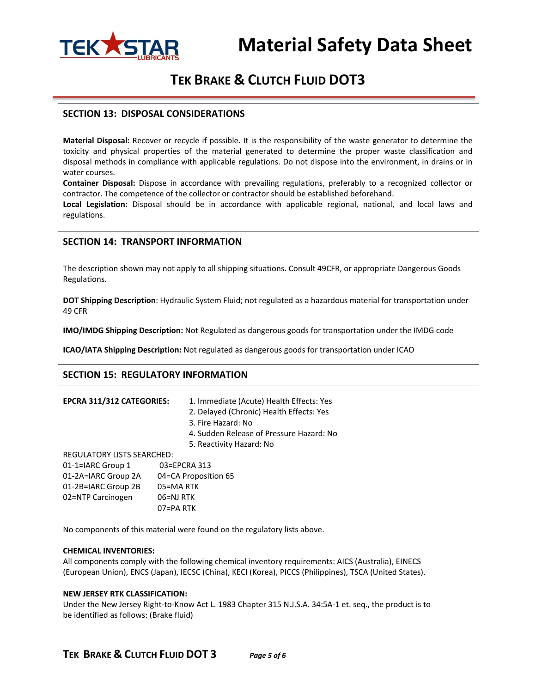

# **TEK BRAKE & CLUTCH FLUID DOT3**

#### **SECTION 13: DISPOSAL CONSIDERATIONS**

**Material Disposal:** Recover or recycle if possible. It is the responsibility of the waste generator to determine the toxicity and physical properties of the material generated to determine the proper waste classification and disposal methods in compliance with applicable regulations. Do not dispose into the environment, in drains or in water courses.

**Container Disposal:** Dispose in accordance with prevailing regulations, preferably to a recognized collector or contractor. The competence of the collector or contractor should be established beforehand.

**Local Legislation:** Disposal should be in accordance with applicable regional, national, and local laws and regulations.

#### **SECTION 14: TRANSPORT INFORMATION**

The description shown may not apply to all shipping situations. Consult 49CFR, or appropriate Dangerous Goods Regulations.

**DOT Shipping Description**: Hydraulic System Fluid; not regulated as a hazardous material for transportation under 49 CFR

**IMO/IMDG Shipping Description:** Not Regulated as dangerous goods for transportation under the IMDG code

**ICAO/IATA Shipping Description:** Not regulated as dangerous goods for transportation under ICAO

#### **SECTION 15: REGULATORY INFORMATION**

| <b>EPCRA 311/312 CATEGORIES:</b> | 1. Immediate (Acute) Health Effects: Yes |
|----------------------------------|------------------------------------------|
|                                  |                                          |

- 2. Delayed (Chronic) Health Effects: Yes
- 3. Fire Hazard: No
- 4. Sudden Release of Pressure Hazard: No
- 5. Reactivity Hazard: No

REGULATORY LISTS SEARCHED:

| 01-1=IARC Group 1   | 03=EPCRA 313         |
|---------------------|----------------------|
| 01-2A=IARC Group 2A | 04=CA Proposition 65 |
| 01-2B=IARC Group 2B | 05=MA RTK            |
| 02=NTP Carcinogen   | 06=NJ RTK            |
|                     | $07 = PA$ RTK        |

No components of this material were found on the regulatory lists above.

#### **CHEMICAL INVENTORIES:**

All components comply with the following chemical inventory requirements: AICS (Australia), EINECS (European Union), ENCS (Japan), IECSC (China), KECI (Korea), PICCS (Philippines), TSCA (United States).

#### **NEW JERSEY RTK CLASSIFICATION:**

Under the New Jersey Right-to-Know Act L. 1983 Chapter 315 N.J.S.A. 34:5A-1 et. seq., the product is to be identified as follows: (Brake fluid)